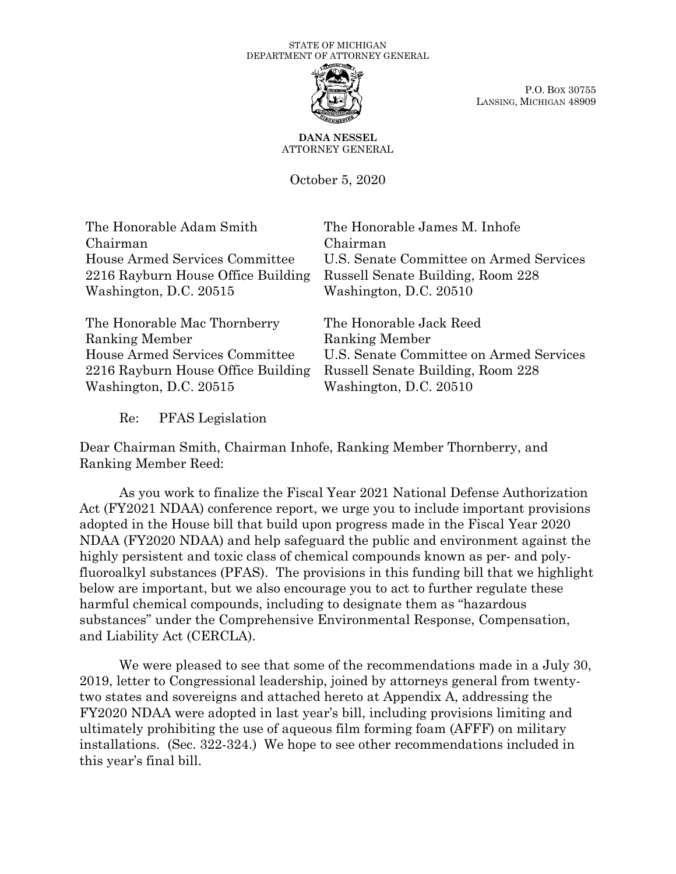

P.O. BOX 30755 LANSING, MICHIGAN 48909

**DANA NESSEL** ATTORNEY GENERAL

October 5, 2020

The Honorable Adam Smith Chairman House Armed Services Committee 2216 Rayburn House Office Building Washington, D.C. 20515

The Honorable Mac Thornberry Ranking Member House Armed Services Committee 2216 Rayburn House Office Building Washington, D.C. 20515

The Honorable James M. Inhofe Chairman U.S. Senate Committee on Armed Services Russell Senate Building, Room 228 Washington, D.C. 20510

The Honorable Jack Reed Ranking Member U.S. Senate Committee on Armed Services Russell Senate Building, Room 228 Washington, D.C. 20510

Re: PFAS Legislation

Dear Chairman Smith, Chairman Inhofe, Ranking Member Thornberry, and Ranking Member Reed:

As you work to finalize the Fiscal Year 2021 National Defense Authorization Act (FY2021 NDAA) conference report, we urge you to include important provisions adopted in the House bill that build upon progress made in the Fiscal Year 2020 NDAA (FY2020 NDAA) and help safeguard the public and environment against the highly persistent and toxic class of chemical compounds known as per- and polyfluoroalkyl substances (PFAS). The provisions in this funding bill that we highlight below are important, but we also encourage you to act to further regulate these harmful chemical compounds, including to designate them as "hazardous substances" under the Comprehensive Environmental Response, Compensation, and Liability Act (CERCLA).

We were pleased to see that some of the recommendations made in a July 30, 2019, letter to Congressional leadership, joined by attorneys general from twentytwo states and sovereigns and attached hereto at Appendix A, addressing the FY2020 NDAA were adopted in last year's bill, including provisions limiting and ultimately prohibiting the use of aqueous film forming foam (AFFF) on military installations. (Sec. 322-324.) We hope to see other recommendations included in this year's final bill.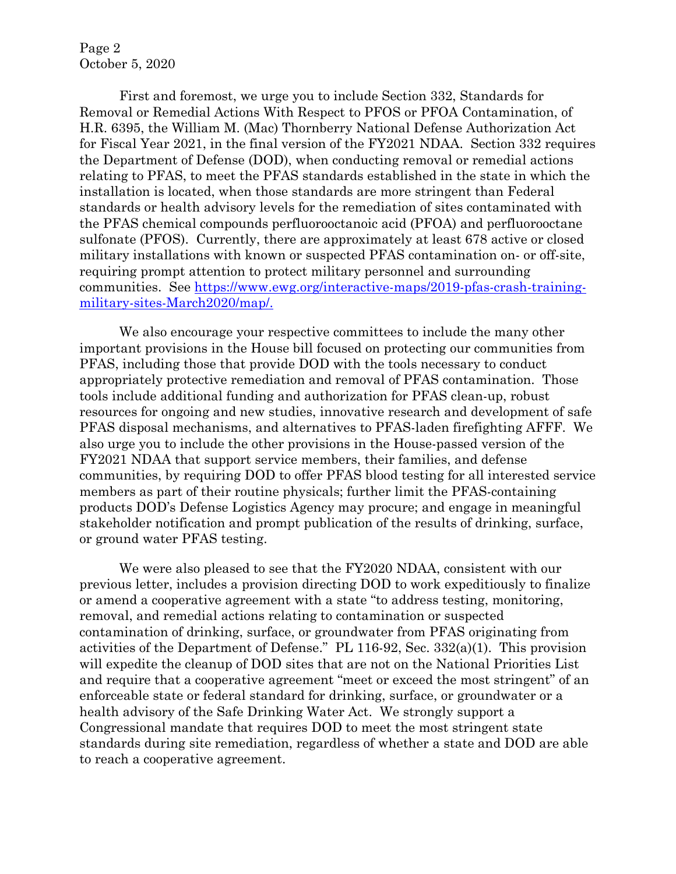Page 2 October 5, 2020

First and foremost, we urge you to include Section 332, Standards for Removal or Remedial Actions With Respect to PFOS or PFOA Contamination, of H.R. 6395, the William M. (Mac) Thornberry National Defense Authorization Act for Fiscal Year 2021, in the final version of the FY2021 NDAA. Section 332 requires the Department of Defense (DOD), when conducting removal or remedial actions relating to PFAS, to meet the PFAS standards established in the state in which the installation is located, when those standards are more stringent than Federal standards or health advisory levels for the remediation of sites contaminated with the PFAS chemical compounds perfluorooctanoic acid (PFOA) and perfluorooctane sulfonate (PFOS). Currently, there are approximately at least 678 active or closed military installations with known or suspected PFAS contamination on- or off-site, requiring prompt attention to protect military personnel and surrounding communities. See [https://www.ewg.org/interactive-maps/2019-pfas-crash-training](https://www.ewg.org/interactive-maps/2019-pfas-crash-training-military-sites-March2020/map/)[military-sites-March2020/map/.](https://www.ewg.org/interactive-maps/2019-pfas-crash-training-military-sites-March2020/map/)

We also encourage your respective committees to include the many other important provisions in the House bill focused on protecting our communities from PFAS, including those that provide DOD with the tools necessary to conduct appropriately protective remediation and removal of PFAS contamination. Those tools include additional funding and authorization for PFAS clean-up, robust resources for ongoing and new studies, innovative research and development of safe PFAS disposal mechanisms, and alternatives to PFAS-laden firefighting AFFF. We also urge you to include the other provisions in the House-passed version of the FY2021 NDAA that support service members, their families, and defense communities, by requiring DOD to offer PFAS blood testing for all interested service members as part of their routine physicals; further limit the PFAS-containing products DOD's Defense Logistics Agency may procure; and engage in meaningful stakeholder notification and prompt publication of the results of drinking, surface, or ground water PFAS testing.

We were also pleased to see that the FY2020 NDAA, consistent with our previous letter, includes a provision directing DOD to work expeditiously to finalize or amend a cooperative agreement with a state "to address testing, monitoring, removal, and remedial actions relating to contamination or suspected contamination of drinking, surface, or groundwater from PFAS originating from activities of the Department of Defense." PL 116-92, Sec. 332(a)(1). This provision will expedite the cleanup of DOD sites that are not on the National Priorities List and require that a cooperative agreement "meet or exceed the most stringent" of an enforceable state or federal standard for drinking, surface, or groundwater or a health advisory of the Safe Drinking Water Act. We strongly support a Congressional mandate that requires DOD to meet the most stringent state standards during site remediation, regardless of whether a state and DOD are able to reach a cooperative agreement.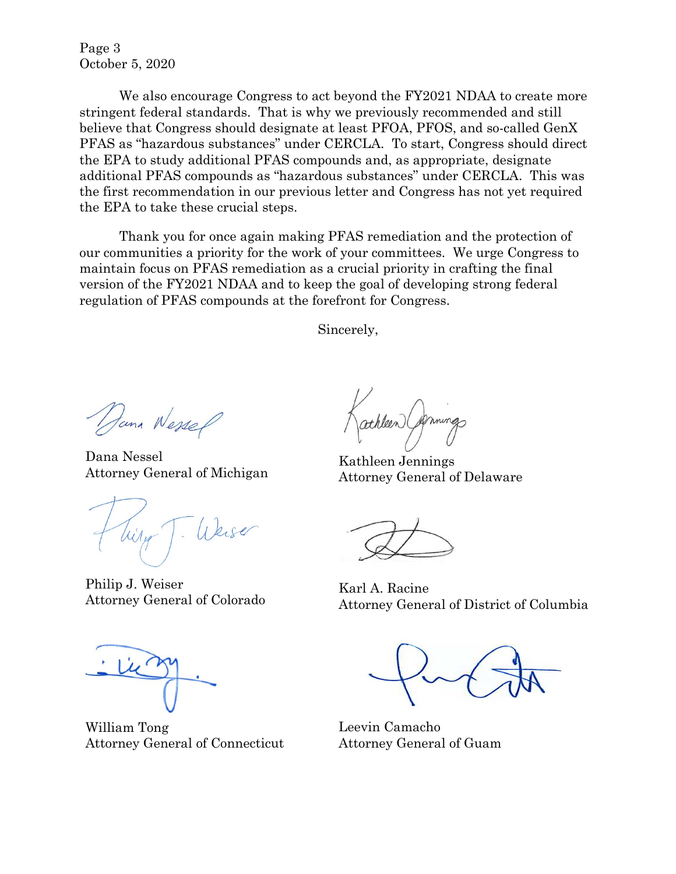Page 3 October 5, 2020

We also encourage Congress to act beyond the FY2021 NDAA to create more stringent federal standards. That is why we previously recommended and still believe that Congress should designate at least PFOA, PFOS, and so-called GenX PFAS as "hazardous substances" under CERCLA. To start, Congress should direct the EPA to study additional PFAS compounds and, as appropriate, designate additional PFAS compounds as "hazardous substances" under CERCLA. This was the first recommendation in our previous letter and Congress has not yet required the EPA to take these crucial steps.

Thank you for once again making PFAS remediation and the protection of our communities a priority for the work of your committees. We urge Congress to maintain focus on PFAS remediation as a crucial priority in crafting the final version of the FY2021 NDAA and to keep the goal of developing strong federal regulation of PFAS compounds at the forefront for Congress.

Sincerely,

Dana Wessel

Dana Nessel Attorney General of Michigan

Philip J. Weiser Attorney General of Colorado

William Tong Attorney General of Connecticut

athleen (Annings

Kathleen Jennings Attorney General of Delaware

Karl A. Racine Attorney General of District of Columbia

Leevin Camacho Attorney General of Guam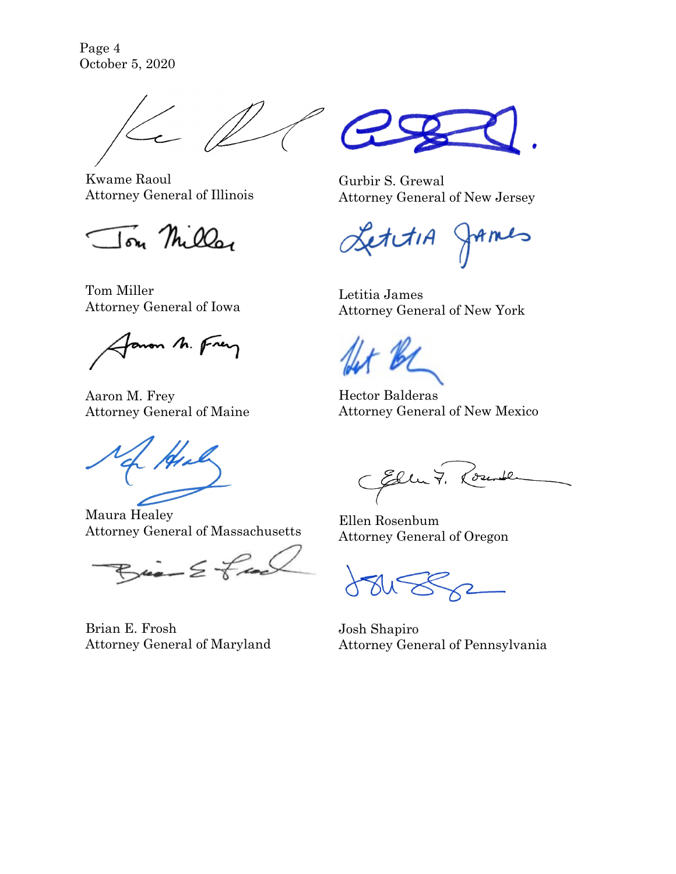Page 4 October 5, 2020



Kwame Raoul Attorney General of Illinois

Ton Miller

Tom Miller Attorney General of Iowa

Janon M. Frey

Aaron M. Frey Attorney General of Maine

Maura Healey Attorney General of Massachusetts

 $B_i = \frac{1}{2} \frac{1}{2}$ 

Brian E. Frosh Attorney General of Maryland



Gurbir S. Grewal Attorney General of New Jersey

etitiA JAMES

Letitia James Attorney General of New York

Hector Balderas Attorney General of New Mexico

CEller 7. Rounde

Ellen Rosenbum Attorney General of Oregon

Josh Shapiro Attorney General of Pennsylvania